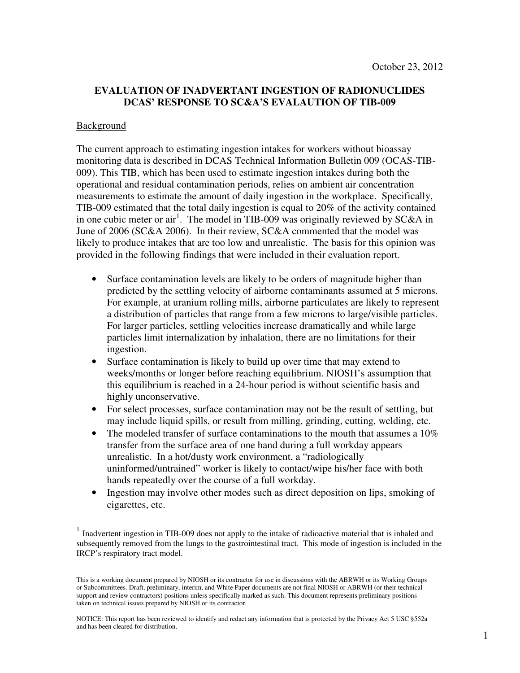# **EVALUATION OF INADVERTANT INGESTION OF RADIONUCLIDES DCAS' RESPONSE TO SC&A'S EVALAUTION OF TIB-009**

## Background

 $\overline{a}$ 

 The current approach to estimating ingestion intakes for workers without bioassay monitoring data is described in DCAS Technical Information Bulletin 009 (OCAS-TIB- 009). This TIB, which has been used to estimate ingestion intakes during both the operational and residual contamination periods, relies on ambient air concentration measurements to estimate the amount of daily ingestion in the workplace. Specifically, TIB-009 estimated that the total daily ingestion is equal to 20% of the activity contained in one cubic meter or air<sup>1</sup>. The model in TIB-009 was originally reviewed by SC&A in June of 2006 (SC&A 2006). In their review, SC&A commented that the model was likely to produce intakes that are too low and unrealistic. The basis for this opinion was provided in the following findings that were included in their evaluation report.

- Surface contamination levels are likely to be orders of magnitude higher than predicted by the settling velocity of airborne contaminants assumed at 5 microns. For example, at uranium rolling mills, airborne particulates are likely to represent a distribution of particles that range from a few microns to large/visible particles. For larger particles, settling velocities increase dramatically and while large particles limit internalization by inhalation, there are no limitations for their ingestion.
- Surface contamination is likely to build up over time that may extend to weeks/months or longer before reaching equilibrium. NIOSH's assumption that this equilibrium is reached in a 24-hour period is without scientific basis and highly unconservative.
- For select processes, surface contamination may not be the result of settling, but may include liquid spills, or result from milling, grinding, cutting, welding, etc.
- The modeled transfer of surface contaminations to the mouth that assumes a  $10\%$  transfer from the surface area of one hand during a full workday appears unrealistic. In a hot/dusty work environment, a "radiologically uninformed/untrained" worker is likely to contact/wipe his/her face with both hands repeatedly over the course of a full workday.
- Ingestion may involve other modes such as direct deposition on lips, smoking of cigarettes, etc.

<sup>&</sup>lt;sup>1</sup> Inadvertent ingestion in TIB-009 does not apply to the intake of radioactive material that is inhaled and subsequently removed from the lungs to the gastrointestinal tract. This mode of ingestion is included in the IRCP's respiratory tract model.

 This is a working document prepared by NIOSH or its contractor for use in discussions with the ABRWH or its Working Groups or Subcommittees. Draft, preliminary, interim, and White Paper documents are not final NIOSH or ABRWH (or their technical support and review contractors) positions unless specifically marked as such. This document represents preliminary positions taken on technical issues prepared by NIOSH or its contractor.

 NOTICE: This report has been reviewed to identify and redact any information that is protected by the Privacy Act 5 USC §552a and has been cleared for distribution.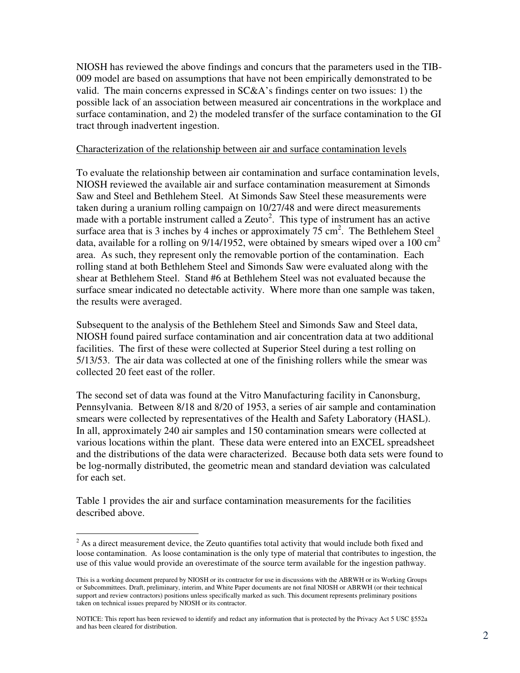NIOSH has reviewed the above findings and concurs that the parameters used in the TIB- 009 model are based on assumptions that have not been empirically demonstrated to be valid. The main concerns expressed in SC&A's findings center on two issues: 1) the possible lack of an association between measured air concentrations in the workplace and surface contamination, and 2) the modeled transfer of the surface contamination to the GI tract through inadvertent ingestion.

### Characterization of the relationship between air and surface contamination levels

 To evaluate the relationship between air contamination and surface contamination levels, NIOSH reviewed the available air and surface contamination measurement at Simonds Saw and Steel and Bethlehem Steel. At Simonds Saw Steel these measurements were taken during a uranium rolling campaign on 10/27/48 and were direct measurements made with a portable instrument called a Zeuto<sup>2</sup>. This type of instrument has an active surface area that is 3 inches by 4 inches or approximately  $75 \text{ cm}^2$ . The Bethlehem Steel data, available for a rolling on  $9/14/1952$ , were obtained by smears wiped over a 100 cm<sup>2</sup> area. As such, they represent only the removable portion of the contamination. Each rolling stand at both Bethlehem Steel and Simonds Saw were evaluated along with the shear at Bethlehem Steel. Stand #6 at Bethlehem Steel was not evaluated because the surface smear indicated no detectable activity. Where more than one sample was taken, the results were averaged.

 Subsequent to the analysis of the Bethlehem Steel and Simonds Saw and Steel data, NIOSH found paired surface contamination and air concentration data at two additional facilities. The first of these were collected at Superior Steel during a test rolling on 5/13/53. The air data was collected at one of the finishing rollers while the smear was collected 20 feet east of the roller.

 The second set of data was found at the Vitro Manufacturing facility in Canonsburg, Pennsylvania. Between 8/18 and 8/20 of 1953, a series of air sample and contamination smears were collected by representatives of the Health and Safety Laboratory (HASL). In all, approximately 240 air samples and 150 contamination smears were collected at various locations within the plant. These data were entered into an EXCEL spreadsheet and the distributions of the data were characterized. Because both data sets were found to be log-normally distributed, the geometric mean and standard deviation was calculated for each set.

 Table 1 provides the air and surface contamination measurements for the facilities described above.

 $\overline{a}$ 

 $2^2$  As a direct measurement device, the Zeuto quantifies total activity that would include both fixed and loose contamination. As loose contamination is the only type of material that contributes to ingestion, the use of this value would provide an overestimate of the source term available for the ingestion pathway.

 This is a working document prepared by NIOSH or its contractor for use in discussions with the ABRWH or its Working Groups or Subcommittees. Draft, preliminary, interim, and White Paper documents are not final NIOSH or ABRWH (or their technical support and review contractors) positions unless specifically marked as such. This document represents preliminary positions taken on technical issues prepared by NIOSH or its contractor.

 NOTICE: This report has been reviewed to identify and redact any information that is protected by the Privacy Act 5 USC §552a and has been cleared for distribution.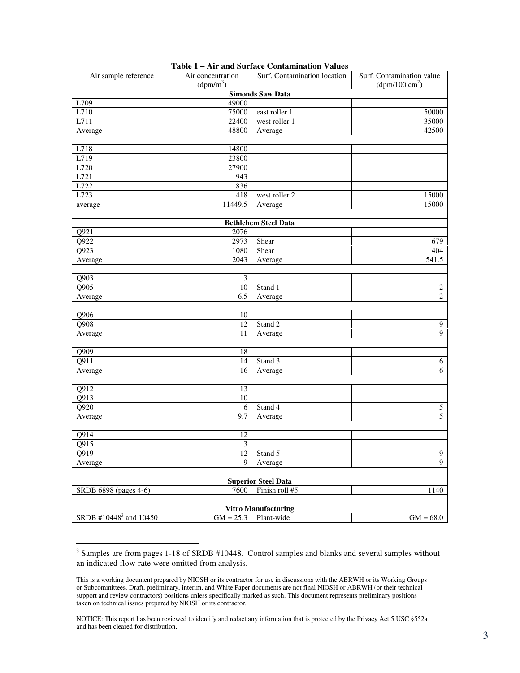| Air sample reference               | 1 avit<br>Air concentration<br>(dpm/m <sup>3</sup> ) | $I = AII$ and burract contamination $\gamma$ and $\gamma$<br>Surf. Contamination location | Surf. Contamination value<br>$(dpm/100 \text{ cm}^2)$ |
|------------------------------------|------------------------------------------------------|-------------------------------------------------------------------------------------------|-------------------------------------------------------|
|                                    |                                                      | <b>Simonds Saw Data</b>                                                                   |                                                       |
| L709                               | 49000                                                |                                                                                           |                                                       |
| L710                               | 75000                                                | east roller 1                                                                             | 50000                                                 |
| L711                               | 22400                                                | west roller 1                                                                             | 35000                                                 |
| Average                            | 48800                                                | Average                                                                                   | 42500                                                 |
|                                    |                                                      |                                                                                           |                                                       |
| L718                               | 14800                                                |                                                                                           |                                                       |
| L719                               | 23800                                                |                                                                                           |                                                       |
| L720                               | 27900                                                |                                                                                           |                                                       |
| L721                               | 943                                                  |                                                                                           |                                                       |
| L722                               | 836                                                  |                                                                                           |                                                       |
| L723                               | 418                                                  | west roller 2                                                                             | 15000                                                 |
| average                            | 11449.5                                              | Average                                                                                   | 15000                                                 |
|                                    |                                                      |                                                                                           |                                                       |
|                                    |                                                      | <b>Bethlehem Steel Data</b>                                                               |                                                       |
| Q921                               | 2076                                                 |                                                                                           |                                                       |
| Q922                               | 2973                                                 | Shear                                                                                     | 679                                                   |
| Q923                               | 1080                                                 | Shear                                                                                     | 404                                                   |
| Average                            | 2043                                                 | Average                                                                                   | 541.5                                                 |
|                                    |                                                      |                                                                                           |                                                       |
| Q903                               | 3                                                    |                                                                                           |                                                       |
| Q905                               | 10                                                   | Stand 1                                                                                   | 2                                                     |
| Average                            | 6.5                                                  | Average                                                                                   | $\overline{c}$                                        |
| $\overline{Q906}$                  | 10                                                   |                                                                                           |                                                       |
| Q908                               |                                                      | Stand 2                                                                                   |                                                       |
| Average                            | 12<br>11                                             |                                                                                           | 9<br>$\overline{9}$                                   |
|                                    |                                                      | Average                                                                                   |                                                       |
| $\overline{Q909}$                  | 18                                                   |                                                                                           |                                                       |
| Q911                               | 14                                                   | Stand 3                                                                                   | 6                                                     |
| Average                            | 16                                                   | Average                                                                                   | 6                                                     |
|                                    |                                                      |                                                                                           |                                                       |
| $\overline{Q912}$                  | 13                                                   |                                                                                           |                                                       |
| $\overline{Q913}$                  | 10                                                   |                                                                                           |                                                       |
| Q920                               | 6                                                    | Stand 4                                                                                   | 5                                                     |
| Average                            | 9.7                                                  | Average                                                                                   | 5                                                     |
|                                    |                                                      |                                                                                           |                                                       |
| Q914                               | 12                                                   |                                                                                           |                                                       |
| $\overline{Q915}$                  | $\overline{3}$                                       |                                                                                           |                                                       |
| Q919                               | 12                                                   | Stand 5                                                                                   | $\overline{9}$                                        |
| Average                            | 9                                                    | Average                                                                                   | $\overline{9}$                                        |
|                                    |                                                      | <b>Superior Steel Data</b>                                                                |                                                       |
| SRDB 6898 (pages 4-6)              | 7600                                                 | Finish roll #5                                                                            | 1140                                                  |
|                                    |                                                      |                                                                                           |                                                       |
|                                    |                                                      | <b>Vitro Manufacturing</b>                                                                |                                                       |
| SRDB #10448 <sup>3</sup> and 10450 | $GM = 25.3$                                          | Plant-wide                                                                                | $GM = 68.0$                                           |

| Table 1 – Air and Surface Contamination Values |  |
|------------------------------------------------|--|
|------------------------------------------------|--|

 $\overline{a}$ 

 $3$  Samples are from pages 1-18 of SRDB #10448. Control samples and blanks and several samples without an indicated flow-rate were omitted from analysis.

This is a working document prepared by NIOSH or its contractor for use in discussions with the ABRWH or its Working Groups or Subcommittees. Draft, preliminary, interim, and White Paper documents are not final NIOSH or ABRWH (or their technical support and review contractors) positions unless specifically marked as such. This document represents preliminary positions taken on technical issues prepared by NIOSH or its contractor.

 NOTICE: This report has been reviewed to identify and redact any information that is protected by the Privacy Act 5 USC §552a and has been cleared for distribution.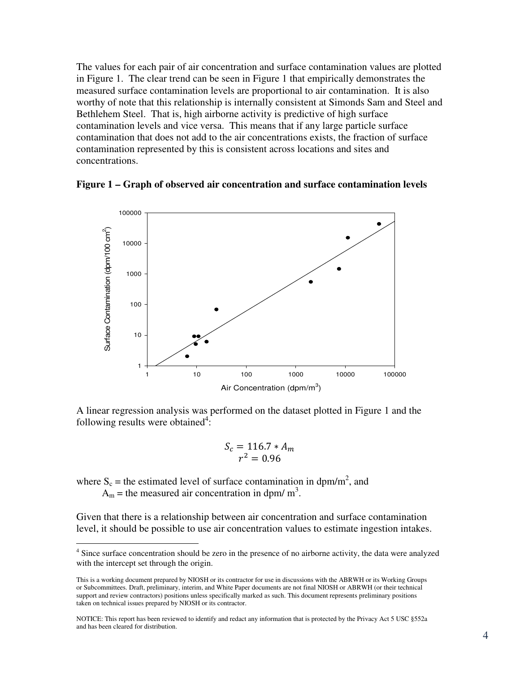The values for each pair of air concentration and surface contamination values are plotted in Figure 1. The clear trend can be seen in Figure 1 that empirically demonstrates the measured surface contamination levels are proportional to air contamination. It is also worthy of note that this relationship is internally consistent at Simonds Sam and Steel and Bethlehem Steel. That is, high airborne activity is predictive of high surface contamination levels and vice versa. This means that if any large particle surface contamination that does not add to the air concentrations exists, the fraction of surface contamination represented by this is consistent across locations and sites and concentrations.





 A linear regression analysis was performed on the dataset plotted in Figure 1 and the following results were obtained $4$ :

$$
S_c = 116.7 \times A_m
$$
  

$$
r^2 = 0.96
$$

where  $S_c$  = the estimated level of surface contamination in dpm/m<sup>2</sup>, and

 $A_m$  = the measured air concentration in dpm/ m<sup>3</sup>.

 $\overline{a}$ 

 Given that there is a relationship between air concentration and surface contamination level, it should be possible to use air concentration values to estimate ingestion intakes.

<sup>&</sup>lt;sup>4</sup> Since surface concentration should be zero in the presence of no airborne activity, the data were analyzed with the intercept set through the origin.

 This is a working document prepared by NIOSH or its contractor for use in discussions with the ABRWH or its Working Groups or Subcommittees. Draft, preliminary, interim, and White Paper documents are not final NIOSH or ABRWH (or their technical support and review contractors) positions unless specifically marked as such. This document represents preliminary positions taken on technical issues prepared by NIOSH or its contractor.

 NOTICE: This report has been reviewed to identify and redact any information that is protected by the Privacy Act 5 USC §552a and has been cleared for distribution.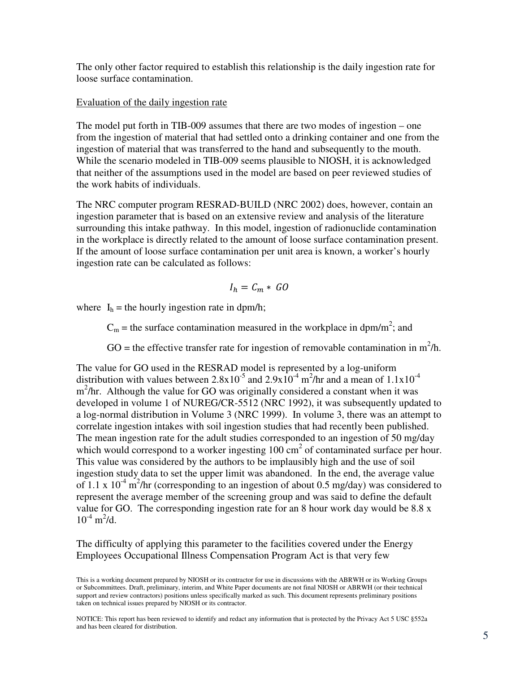The only other factor required to establish this relationship is the daily ingestion rate for loose surface contamination.

## Evaluation of the daily ingestion rate

 The model put forth in TIB-009 assumes that there are two modes of ingestion – one from the ingestion of material that had settled onto a drinking container and one from the ingestion of material that was transferred to the hand and subsequently to the mouth. While the scenario modeled in TIB-009 seems plausible to NIOSH, it is acknowledged that neither of the assumptions used in the model are based on peer reviewed studies of the work habits of individuals.

 The NRC computer program RESRAD-BUILD (NRC 2002) does, however, contain an ingestion parameter that is based on an extensive review and analysis of the literature surrounding this intake pathway. In this model, ingestion of radionuclide contamination in the workplace is directly related to the amount of loose surface contamination present. If the amount of loose surface contamination per unit area is known, a worker's hourly ingestion rate can be calculated as follows:

$$
I_h = C_m * GO
$$

where  $I_h$  = the hourly ingestion rate in dpm/h;

 $C_m$  = the surface contamination measured in the workplace in dpm/m<sup>2</sup>; and

GO = the effective transfer rate for ingestion of removable contamination in  $m^2/h$ .

 The value for GO used in the RESRAD model is represented by a log-uniform distribution with values between  $2.8 \times 10^{-5}$  and  $2.9 \times 10^{-4}$  m<sup>2</sup>/hr and a mean of  $1.1 \times 10^{-4}$  $m<sup>2</sup>/hr$ . Although the value for GO was originally considered a constant when it was developed in volume 1 of NUREG/CR-5512 (NRC 1992), it was subsequently updated to a log-normal distribution in Volume 3 (NRC 1999). In volume 3, there was an attempt to correlate ingestion intakes with soil ingestion studies that had recently been published. The mean ingestion rate for the adult studies corresponded to an ingestion of 50 mg/day which would correspond to a worker ingesting  $100 \text{ cm}^2$  of contaminated surface per hour. This value was considered by the authors to be implausibly high and the use of soil ingestion study data to set the upper limit was abandoned. In the end, the average value of 1.1 x  $10^{-4}$  m<sup>2</sup>/hr (corresponding to an ingestion of about 0.5 mg/day) was considered to represent the average member of the screening group and was said to define the default value for GO. The corresponding ingestion rate for an 8 hour work day would be 8.8 x  $10^{-4}$  m<sup>2</sup>/d.

 The difficulty of applying this parameter to the facilities covered under the Energy Employees Occupational Illness Compensation Program Act is that very few

 NOTICE: This report has been reviewed to identify and redact any information that is protected by the Privacy Act 5 USC §552a and has been cleared for distribution.

 This is a working document prepared by NIOSH or its contractor for use in discussions with the ABRWH or its Working Groups or Subcommittees. Draft, preliminary, interim, and White Paper documents are not final NIOSH or ABRWH (or their technical support and review contractors) positions unless specifically marked as such. This document represents preliminary positions taken on technical issues prepared by NIOSH or its contractor.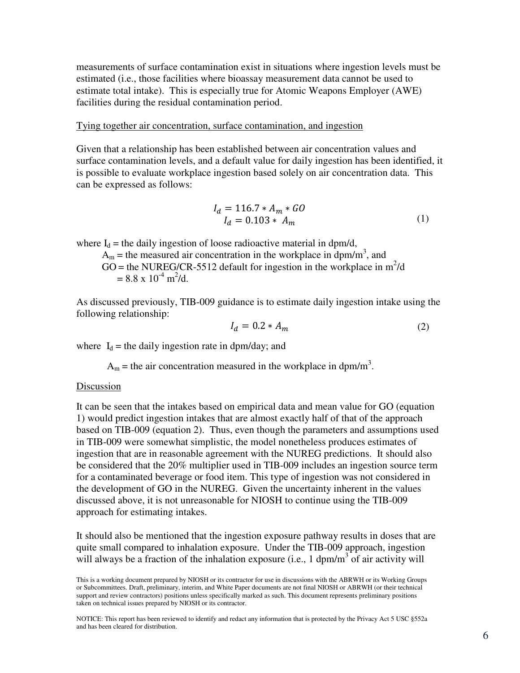measurements of surface contamination exist in situations where ingestion levels must be estimated (i.e., those facilities where bioassay measurement data cannot be used to estimate total intake). This is especially true for Atomic Weapons Employer (AWE) facilities during the residual contamination period.

### Tying together air concentration, surface contamination, and ingestion

 Given that a relationship has been established between air concentration values and surface contamination levels, and a default value for daily ingestion has been identified, it is possible to evaluate workplace ingestion based solely on air concentration data. This can be expressed as follows:

$$
I_d = 116.7 * A_m * GO
$$
  
\n
$$
I_d = 0.103 * A_m
$$
 (1)

where  $I_d$  = the daily ingestion of loose radioactive material in dpm/d,

 $A_m$  = the measured air concentration in the workplace in dpm/m<sup>3</sup>, and GO = the NUREG/CR-5512 default for ingestion in the workplace in  $m^2/d$  $= 8.8 \times 10^{-4} \text{ m}^2/\text{d}.$ 

 As discussed previously, TIB-009 guidance is to estimate daily ingestion intake using the following relationship:

$$
I_d = 0.2 * A_m \tag{2}
$$

where  $I_d$  = the daily ingestion rate in dpm/day; and

 $A_m$  = the air concentration measured in the workplace in dpm/m<sup>3</sup>.

#### Discussion

 It can be seen that the intakes based on empirical data and mean value for GO (equation 1) would predict ingestion intakes that are almost exactly half of that of the approach based on TIB-009 (equation 2). Thus, even though the parameters and assumptions used in TIB-009 were somewhat simplistic, the model nonetheless produces estimates of ingestion that are in reasonable agreement with the NUREG predictions. It should also be considered that the 20% multiplier used in TIB-009 includes an ingestion source term for a contaminated beverage or food item. This type of ingestion was not considered in the development of GO in the NUREG. Given the uncertainty inherent in the values discussed above, it is not unreasonable for NIOSH to continue using the TIB-009 approach for estimating intakes.

 It should also be mentioned that the ingestion exposure pathway results in doses that are quite small compared to inhalation exposure. Under the TIB-009 approach, ingestion will always be a fraction of the inhalation exposure (i.e., 1 dpm/ $m<sup>3</sup>$  of air activity will

 NOTICE: This report has been reviewed to identify and redact any information that is protected by the Privacy Act 5 USC §552a and has been cleared for distribution.

 This is a working document prepared by NIOSH or its contractor for use in discussions with the ABRWH or its Working Groups or Subcommittees. Draft, preliminary, interim, and White Paper documents are not final NIOSH or ABRWH (or their technical support and review contractors) positions unless specifically marked as such. This document represents preliminary positions taken on technical issues prepared by NIOSH or its contractor.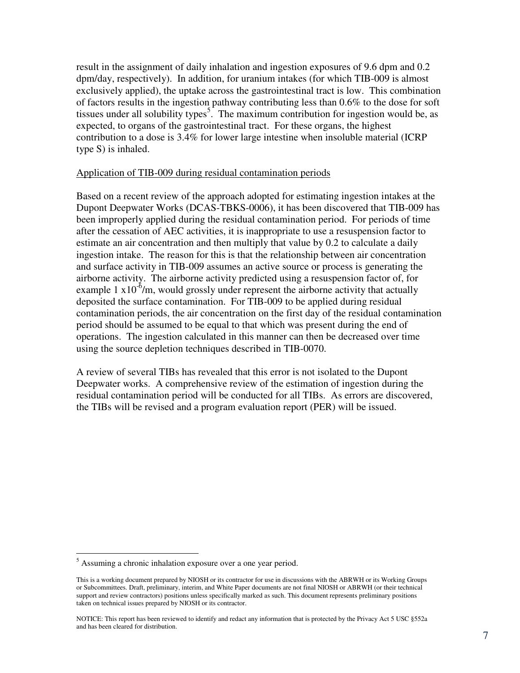result in the assignment of daily inhalation and ingestion exposures of 9.6 dpm and 0.2 dpm/day, respectively). In addition, for uranium intakes (for which TIB-009 is almost exclusively applied), the uptake across the gastrointestinal tract is low. This combination of factors results in the ingestion pathway contributing less than 0.6% to the dose for soft tissues under all solubility types<sup>5</sup>. The maximum contribution for ingestion would be, as expected, to organs of the gastrointestinal tract. For these organs, the highest contribution to a dose is 3.4% for lower large intestine when insoluble material (ICRP type S) is inhaled.

# Application of TIB-009 during residual contamination periods

 Based on a recent review of the approach adopted for estimating ingestion intakes at the Dupont Deepwater Works (DCAS-TBKS-0006), it has been discovered that TIB-009 has been improperly applied during the residual contamination period. For periods of time after the cessation of AEC activities, it is inappropriate to use a resuspension factor to estimate an air concentration and then multiply that value by 0.2 to calculate a daily ingestion intake. The reason for this is that the relationship between air concentration and surface activity in TIB-009 assumes an active source or process is generating the airborne activity. The airborne activity predicted using a resuspension factor of, for example 1  $x10^{-6}$ /m, would grossly under represent the airborne activity that actually deposited the surface contamination. For TIB-009 to be applied during residual contamination periods, the air concentration on the first day of the residual contamination period should be assumed to be equal to that which was present during the end of operations. The ingestion calculated in this manner can then be decreased over time using the source depletion techniques described in TIB-0070.

 A review of several TIBs has revealed that this error is not isolated to the Dupont Deepwater works. A comprehensive review of the estimation of ingestion during the residual contamination period will be conducted for all TIBs. As errors are discovered, the TIBs will be revised and a program evaluation report (PER) will be issued.

 $\overline{a}$ 

 $<sup>5</sup>$  Assuming a chronic inhalation exposure over a one year period.</sup>

 This is a working document prepared by NIOSH or its contractor for use in discussions with the ABRWH or its Working Groups or Subcommittees. Draft, preliminary, interim, and White Paper documents are not final NIOSH or ABRWH (or their technical support and review contractors) positions unless specifically marked as such. This document represents preliminary positions taken on technical issues prepared by NIOSH or its contractor.

 NOTICE: This report has been reviewed to identify and redact any information that is protected by the Privacy Act 5 USC §552a and has been cleared for distribution.